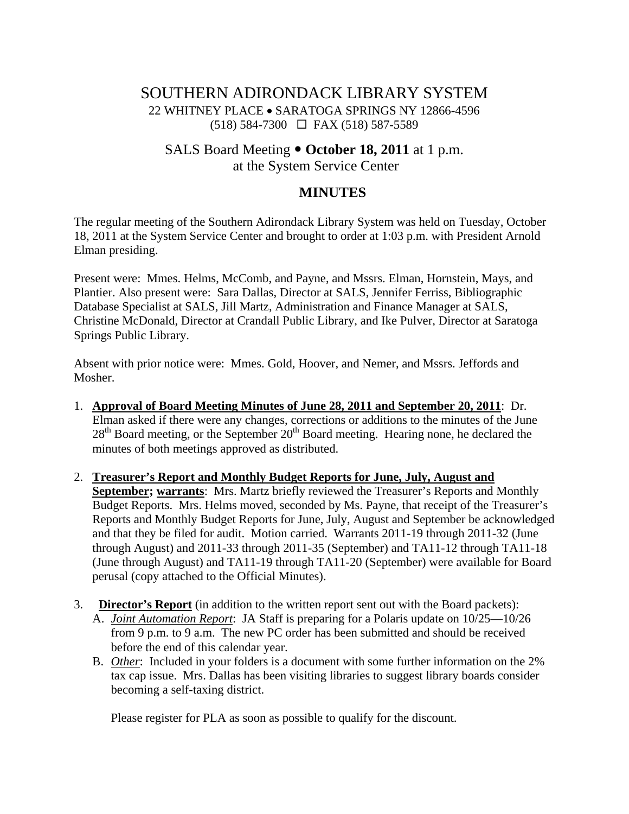# SOUTHERN ADIRONDACK LIBRARY SYSTEM 22 WHITNEY PLACE • SARATOGA SPRINGS NY 12866-4596  $(518) 584-7300 \square$  FAX (518) 587-5589

## SALS Board Meeting  $\bullet$  October 18, 2011 at 1 p.m. at the System Service Center

# **MINUTES**

The regular meeting of the Southern Adirondack Library System was held on Tuesday, October 18, 2011 at the System Service Center and brought to order at 1:03 p.m. with President Arnold Elman presiding.

Present were: Mmes. Helms, McComb, and Payne, and Mssrs. Elman, Hornstein, Mays, and Plantier. Also present were: Sara Dallas, Director at SALS, Jennifer Ferriss, Bibliographic Database Specialist at SALS, Jill Martz, Administration and Finance Manager at SALS, Christine McDonald, Director at Crandall Public Library, and Ike Pulver, Director at Saratoga Springs Public Library.

Absent with prior notice were: Mmes. Gold, Hoover, and Nemer, and Mssrs. Jeffords and Mosher.

- 1. **Approval of Board Meeting Minutes of June 28, 2011 and September 20, 2011**: Dr. Elman asked if there were any changes, corrections or additions to the minutes of the June  $28<sup>th</sup>$  Board meeting, or the September  $20<sup>th</sup>$  Board meeting. Hearing none, he declared the minutes of both meetings approved as distributed.
- 2. **Treasurer's Report and Monthly Budget Reports for June, July, August and September; warrants**: Mrs. Martz briefly reviewed the Treasurer's Reports and Monthly Budget Reports. Mrs. Helms moved, seconded by Ms. Payne, that receipt of the Treasurer's Reports and Monthly Budget Reports for June, July, August and September be acknowledged and that they be filed for audit. Motion carried. Warrants 2011-19 through 2011-32 (June through August) and 2011-33 through 2011-35 (September) and TA11-12 through TA11-18 (June through August) and TA11-19 through TA11-20 (September) were available for Board perusal (copy attached to the Official Minutes).
- 3. **Director's Report** (in addition to the written report sent out with the Board packets):
	- A. *Joint Automation Report*: JA Staff is preparing for a Polaris update on 10/25—10/26 from 9 p.m. to 9 a.m. The new PC order has been submitted and should be received before the end of this calendar year.
	- B. *Other*: Included in your folders is a document with some further information on the 2% tax cap issue. Mrs. Dallas has been visiting libraries to suggest library boards consider becoming a self-taxing district.

Please register for PLA as soon as possible to qualify for the discount.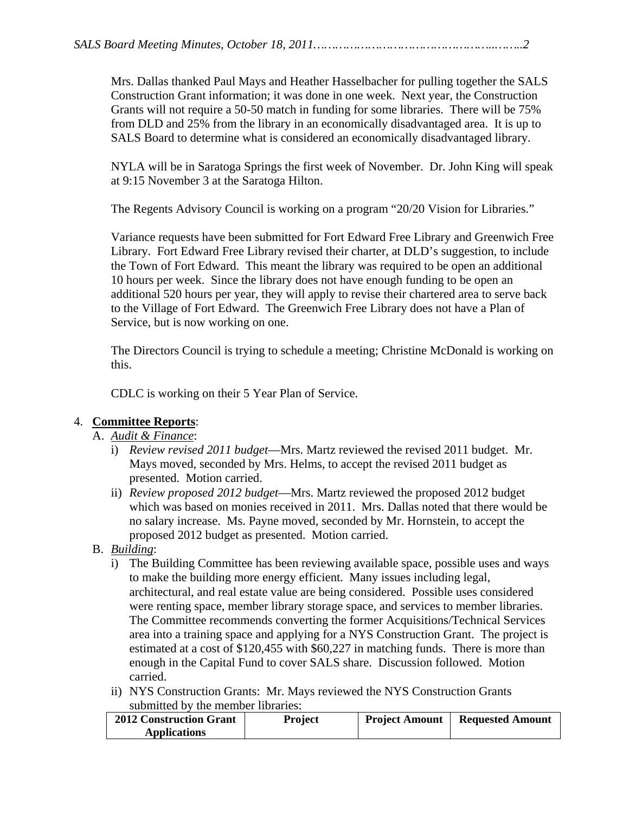Mrs. Dallas thanked Paul Mays and Heather Hasselbacher for pulling together the SALS Construction Grant information; it was done in one week. Next year, the Construction Grants will not require a 50-50 match in funding for some libraries. There will be 75% from DLD and 25% from the library in an economically disadvantaged area. It is up to SALS Board to determine what is considered an economically disadvantaged library.

NYLA will be in Saratoga Springs the first week of November. Dr. John King will speak at 9:15 November 3 at the Saratoga Hilton.

The Regents Advisory Council is working on a program "20/20 Vision for Libraries."

Variance requests have been submitted for Fort Edward Free Library and Greenwich Free Library. Fort Edward Free Library revised their charter, at DLD's suggestion, to include the Town of Fort Edward. This meant the library was required to be open an additional 10 hours per week. Since the library does not have enough funding to be open an additional 520 hours per year, they will apply to revise their chartered area to serve back to the Village of Fort Edward. The Greenwich Free Library does not have a Plan of Service, but is now working on one.

The Directors Council is trying to schedule a meeting; Christine McDonald is working on this.

CDLC is working on their 5 Year Plan of Service.

## 4. **Committee Reports**:

A. *Audit & Finance*:

- i) *Review revised 2011 budget*—Mrs. Martz reviewed the revised 2011 budget. Mr. Mays moved, seconded by Mrs. Helms, to accept the revised 2011 budget as presented. Motion carried.
- ii) *Review proposed 2012 budget*—Mrs. Martz reviewed the proposed 2012 budget which was based on monies received in 2011. Mrs. Dallas noted that there would be no salary increase. Ms. Payne moved, seconded by Mr. Hornstein, to accept the proposed 2012 budget as presented. Motion carried.
- B. *Building*:
	- i) The Building Committee has been reviewing available space, possible uses and ways to make the building more energy efficient. Many issues including legal, architectural, and real estate value are being considered. Possible uses considered were renting space, member library storage space, and services to member libraries. The Committee recommends converting the former Acquisitions/Technical Services area into a training space and applying for a NYS Construction Grant. The project is estimated at a cost of \$120,455 with \$60,227 in matching funds. There is more than enough in the Capital Fund to cover SALS share. Discussion followed. Motion carried.
	- ii) NYS Construction Grants: Mr. Mays reviewed the NYS Construction Grants submitted by the member libraries:

| <b>2012 Construction Grant</b> | Project | <b>Project Amount</b> | <b>Requested Amount</b> |
|--------------------------------|---------|-----------------------|-------------------------|
| <b>Applications</b>            |         |                       |                         |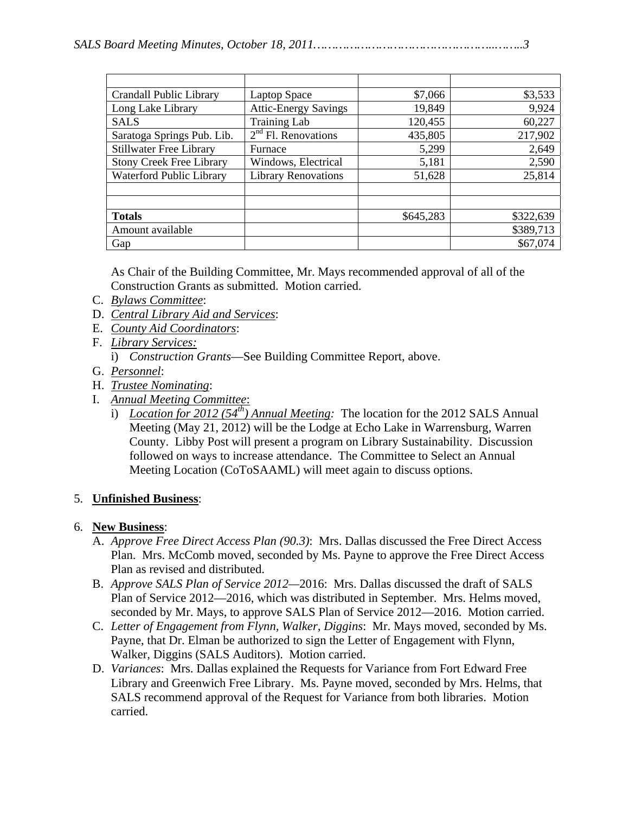| Crandall Public Library         | Laptop Space                | \$7,066   | \$3,533   |
|---------------------------------|-----------------------------|-----------|-----------|
| Long Lake Library               | <b>Attic-Energy Savings</b> | 19,849    | 9,924     |
| <b>SALS</b>                     | <b>Training Lab</b>         | 120,455   | 60,227    |
| Saratoga Springs Pub. Lib.      | $2nd$ Fl. Renovations       | 435,805   | 217,902   |
| <b>Stillwater Free Library</b>  | Furnace                     | 5,299     | 2,649     |
| <b>Stony Creek Free Library</b> | Windows, Electrical         | 5,181     | 2,590     |
| Waterford Public Library        | <b>Library Renovations</b>  | 51,628    | 25,814    |
|                                 |                             |           |           |
|                                 |                             |           |           |
| <b>Totals</b>                   |                             | \$645,283 | \$322,639 |
| Amount available                |                             |           | \$389,713 |
| Gap                             |                             |           | \$67,074  |

As Chair of the Building Committee, Mr. Mays recommended approval of all of the Construction Grants as submitted. Motion carried.

- C. *Bylaws Committee*:
- D. *Central Library Aid and Services*:
- E. *County Aid Coordinators*:
- F. *Library Services:* 
	- i) *Construction Grants*—See Building Committee Report, above.
- G. *Personnel*:
- H. *Trustee Nominating*:
- I. *Annual Meeting Committee*:
	- i) *Location for 2012 (54th) Annual Meeting:* The location for the 2012 SALS Annual Meeting (May 21, 2012) will be the Lodge at Echo Lake in Warrensburg, Warren County. Libby Post will present a program on Library Sustainability. Discussion followed on ways to increase attendance. The Committee to Select an Annual Meeting Location (CoToSAAML) will meet again to discuss options.

### 5. **Unfinished Business**:

### 6. **New Business**:

- A. *Approve Free Direct Access Plan (90.3)*: Mrs. Dallas discussed the Free Direct Access Plan. Mrs. McComb moved, seconded by Ms. Payne to approve the Free Direct Access Plan as revised and distributed.
- B. *Approve SALS Plan of Service 2012—*2016: Mrs. Dallas discussed the draft of SALS Plan of Service 2012—2016, which was distributed in September. Mrs. Helms moved, seconded by Mr. Mays, to approve SALS Plan of Service 2012—2016. Motion carried.
- C. *Letter of Engagement from Flynn, Walker, Diggins*: Mr. Mays moved, seconded by Ms. Payne, that Dr. Elman be authorized to sign the Letter of Engagement with Flynn, Walker, Diggins (SALS Auditors). Motion carried.
- D. *Variances*: Mrs. Dallas explained the Requests for Variance from Fort Edward Free Library and Greenwich Free Library. Ms. Payne moved, seconded by Mrs. Helms, that SALS recommend approval of the Request for Variance from both libraries. Motion carried.